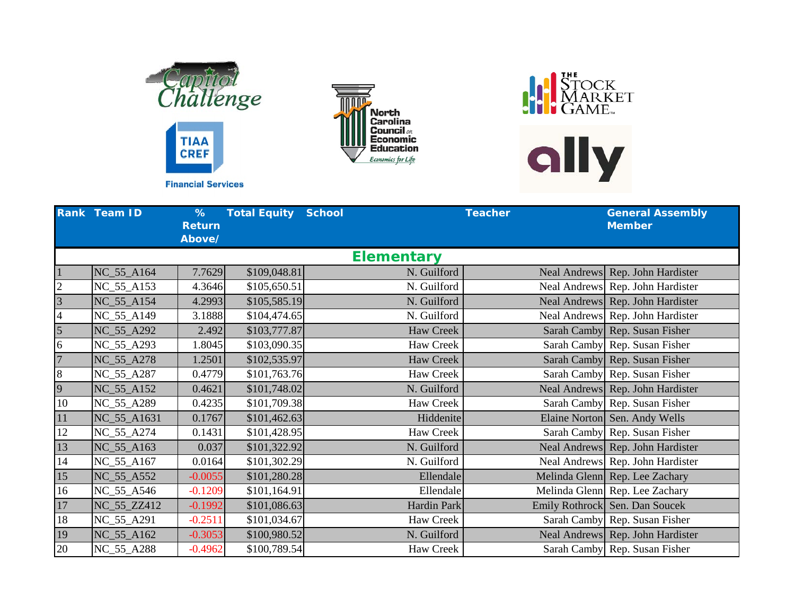





|                | <b>Rank Team ID</b> | %<br><b>Return</b><br>Above/ | <b>Total Equity</b> | <b>School</b>     | <b>Teacher</b> | <b>General Assembly</b><br><b>Member</b> |
|----------------|---------------------|------------------------------|---------------------|-------------------|----------------|------------------------------------------|
|                |                     |                              |                     | <b>Elementary</b> |                |                                          |
| 1              | NC_55_A164          | 7.7629                       | \$109,048.81        | N. Guilford       |                | Neal Andrews Rep. John Hardister         |
| $\overline{2}$ | NC_55_A153          | 4.3646                       | \$105,650.51        | N. Guilford       |                | Neal Andrews Rep. John Hardister         |
| $\overline{3}$ | NC_55_A154          | 4.2993                       | \$105,585.19        | N. Guilford       |                | Neal Andrews Rep. John Hardister         |
| $\overline{4}$ | NC_55_A149          | 3.1888                       | \$104,474.65        | N. Guilford       |                | Neal Andrews Rep. John Hardister         |
| $\overline{5}$ | NC_55_A292          | 2.492                        | \$103,777.87        | <b>Haw Creek</b>  |                | Sarah Camby Rep. Susan Fisher            |
| 6              | NC_55_A293          | 1.8045                       | \$103,090.35        | <b>Haw Creek</b>  |                | Sarah Camby Rep. Susan Fisher            |
| $\overline{7}$ | NC_55_A278          | 1.2501                       | \$102,535.97        | Haw Creek         |                | Sarah Camby Rep. Susan Fisher            |
| 8              | NC_55_A287          | 0.4779                       | \$101,763.76        | Haw Creek         |                | Sarah Camby Rep. Susan Fisher            |
| 9              | NC_55_A152          | 0.4621                       | \$101,748.02        | N. Guilford       |                | Neal Andrews Rep. John Hardister         |
| 10             | NC_55_A289          | 0.4235                       | \$101,709.38        | Haw Creek         |                | Sarah Camby Rep. Susan Fisher            |
| 11             | NC_55_A1631         | 0.1767                       | \$101,462.63        | Hiddenite         |                | Elaine Norton Sen. Andy Wells            |
| 12             | NC_55_A274          | 0.1431                       | \$101,428.95        | Haw Creek         |                | Sarah Camby Rep. Susan Fisher            |
| 13             | NC_55_A163          | 0.037                        | \$101,322.92        | N. Guilford       |                | Neal Andrews Rep. John Hardister         |
| 14             | NC_55_A167          | 0.0164                       | \$101,302.29        | N. Guilford       |                | Neal Andrews Rep. John Hardister         |
| 15             | NC_55_A552          | $-0.0055$                    | \$101,280.28        | Ellendale         |                | Melinda Glenn Rep. Lee Zachary           |
| 16             | NC_55_A546          | $-0.1209$                    | \$101,164.91        | Ellendale         |                | Melinda Glenn Rep. Lee Zachary           |
| 17             | NC_55_ZZ412         | $-0.1992$                    | \$101,086.63        | Hardin Park       |                | Emily Rothrock Sen. Dan Soucek           |
| $18\,$         | NC_55_A291          | $-0.2511$                    | \$101,034.67        | Haw Creek         |                | Sarah Camby Rep. Susan Fisher            |
| 19             | NC_55_A162          | $-0.3053$                    | \$100,980.52        | N. Guilford       |                | Neal Andrews Rep. John Hardister         |
| 20             | NC_55_A288          | $-0.4962$                    | \$100,789.54        | Haw Creek         |                | Sarah Camby Rep. Susan Fisher            |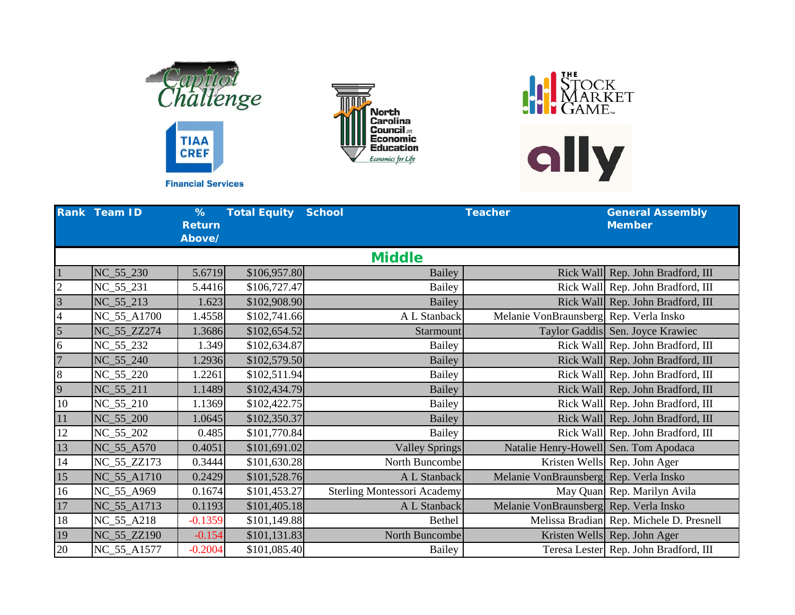





|                | Rank Team ID | %<br><b>Return</b><br>Above/ | <b>Total Equity</b> | <b>School</b>                      | <b>Teacher</b>                         | <b>General Assembly</b><br><b>Member</b> |
|----------------|--------------|------------------------------|---------------------|------------------------------------|----------------------------------------|------------------------------------------|
|                |              |                              |                     | <b>Middle</b>                      |                                        |                                          |
|                | NC_55_230    | 5.6719                       | \$106,957.80        | <b>Bailey</b>                      |                                        | Rick Wall Rep. John Bradford, III        |
| $\overline{c}$ | NC_55_231    | 5.4416                       | \$106,727.47        | <b>Bailey</b>                      |                                        | Rick Wall Rep. John Bradford, III        |
| $\overline{3}$ | NC_55_213    | 1.623                        | \$102,908.90        | Bailey                             |                                        | Rick Wall Rep. John Bradford, III        |
| $\overline{4}$ | NC_55_A1700  | 1.4558                       | \$102,741.66        | A L Stanback                       | Melanie VonBraunsberg Rep. Verla Insko |                                          |
| 5              | NC_55_ZZ274  | 1.3686                       | \$102,654.52        | Starmount                          |                                        | Taylor Gaddis Sen. Joyce Krawiec         |
| 6              | NC_55_232    | 1.349                        | \$102,634.87        | Bailey                             |                                        | Rick Wall Rep. John Bradford, III        |
| $\overline{7}$ | NC_55_240    | 1.2936                       | \$102,579.50        | <b>Bailey</b>                      |                                        | Rick Wall Rep. John Bradford, III        |
| $8\,$          | NC_55_220    | 1.2261                       | \$102,511.94        | Bailey                             |                                        | Rick Wall Rep. John Bradford, III        |
| 9              | NC_55_211    | 1.1489                       | \$102,434.79        | <b>Bailey</b>                      |                                        | Rick Wall Rep. John Bradford, III        |
| 10             | $NC_55_210$  | 1.1369                       | \$102,422.75        | Bailey                             |                                        | Rick Wall Rep. John Bradford, III        |
| 11             | NC_55_200    | 1.0645                       | \$102,350.37        | <b>Bailey</b>                      |                                        | Rick Wall Rep. John Bradford, III        |
| 12             | NC_55_202    | 0.485                        | \$101,770.84        | Bailey                             |                                        | Rick Wall Rep. John Bradford, III        |
| 13             | NC_55_A570   | 0.4051                       | \$101,691.02        | <b>Valley Springs</b>              | Natalie Henry-Howell Sen. Tom Apodaca  |                                          |
| 14             | NC_55_ZZ173  | 0.3444                       | \$101,630.28        | North Buncombe                     |                                        | Kristen Wells Rep. John Ager             |
| 15             | NC_55_A1710  | 0.2429                       | \$101,528.76        | A L Stanback                       | Melanie VonBraunsberg Rep. Verla Insko |                                          |
| 16             | NC_55_A969   | 0.1674                       | \$101,453.27        | <b>Sterling Montessori Academy</b> |                                        | May Quan Rep. Marilyn Avila              |
| 17             | NC_55_A1713  | 0.1193                       | \$101,405.18        | A L Stanback                       | Melanie VonBraunsberg Rep. Verla Insko |                                          |
| $18\,$         | NC_55_A218   | $-0.1359$                    | \$101,149.88        | <b>Bethel</b>                      |                                        | Melissa Bradian Rep. Michele D. Presnell |
| 19             | NC_55_ZZ190  | $-0.154$                     | \$101,131.83        | North Buncombe                     |                                        | Kristen Wells Rep. John Ager             |
| 20             | NC_55_A1577  | $-0.2004$                    | \$101,085.40        | Bailey                             |                                        | Teresa Lester Rep. John Bradford, III    |